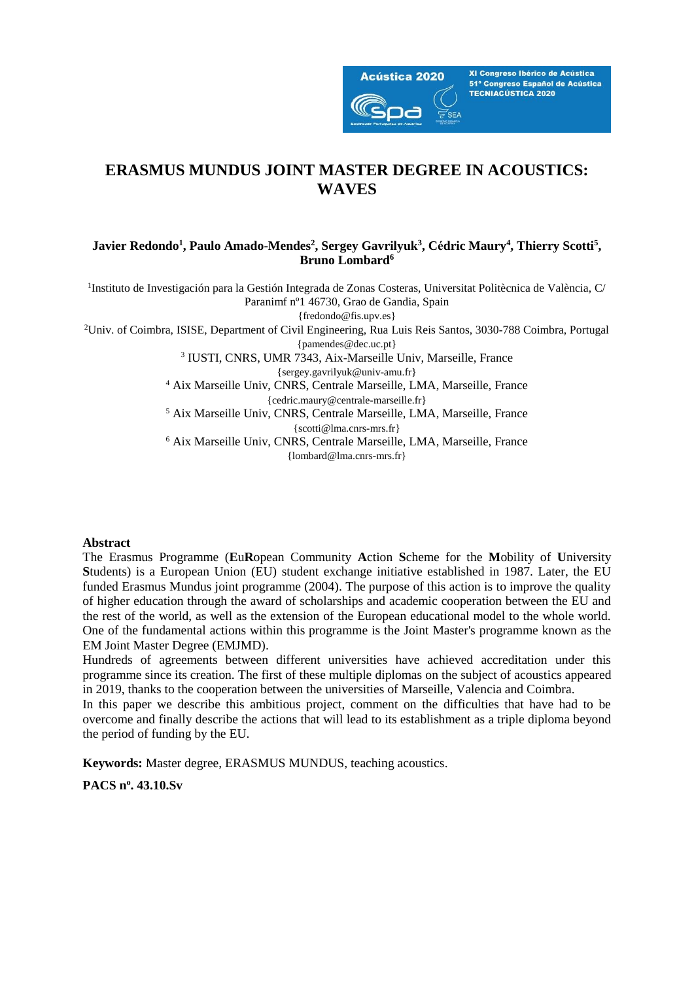

XI Congreso Ibérico de Acústica 51º Congreso Español de Acústica **TECNIACÚSTICA 2020** 

# **ERASMUS MUNDUS JOINT MASTER DEGREE IN ACOUSTICS: WAVES**

### **Javier Redondo<sup>1</sup> , Paulo Amado-Mendes<sup>2</sup> , Sergey Gavrilyuk<sup>3</sup> , Cédric Maury<sup>4</sup> , Thierry Scotti<sup>5</sup> , Bruno Lombard<sup>6</sup>**

<sup>1</sup>Instituto de Investigación para la Gestión Integrada de Zonas Costeras, Universitat Politècnica de València, C/ Paranimf nº1 46730, Grao de Gandia, Spain

{fredondo@fis.upv.es}

<sup>2</sup>Univ. of Coimbra, ISISE, Department of Civil Engineering, Rua Luis Reis Santos, 3030-788 Coimbra, Portugal

{pamendes@dec.uc.pt}

3 IUSTI, CNRS, UMR 7343, Aix-Marseille Univ, Marseille, France {sergey.gavrilyuk@univ-amu.fr}

<sup>4</sup> Aix Marseille Univ, CNRS, Centrale Marseille, LMA, Marseille, France

{cedric.maury@centrale-marseille.fr} <sup>5</sup> Aix Marseille Univ, CNRS, Centrale Marseille, LMA, Marseille, France {scotti@lma.cnrs-mrs.fr}

<sup>6</sup> Aix Marseille Univ, CNRS, Centrale Marseille, LMA, Marseille, France {lombard@lma.cnrs-mrs.fr}

### **Abstract**

The Erasmus Programme (**E**u**R**opean Community **A**ction **S**cheme for the **M**obility of **U**niversity **S**tudents) is a European Union (EU) student exchange initiative established in 1987. Later, the EU funded Erasmus Mundus joint programme (2004). The purpose of this action is to improve the quality of higher education through the award of scholarships and academic cooperation between the EU and the rest of the world, as well as the extension of the European educational model to the whole world. One of the fundamental actions within this programme is the Joint Master's programme known as the EM Joint Master Degree (EMJMD).

Hundreds of agreements between different universities have achieved accreditation under this programme since its creation. The first of these multiple diplomas on the subject of acoustics appeared in 2019, thanks to the cooperation between the universities of Marseille, Valencia and Coimbra.

In this paper we describe this ambitious project, comment on the difficulties that have had to be overcome and finally describe the actions that will lead to its establishment as a triple diploma beyond the period of funding by the EU.

**Keywords:** Master degree, ERASMUS MUNDUS, teaching acoustics.

**PACS n<sup>o</sup> . 43.10.Sv**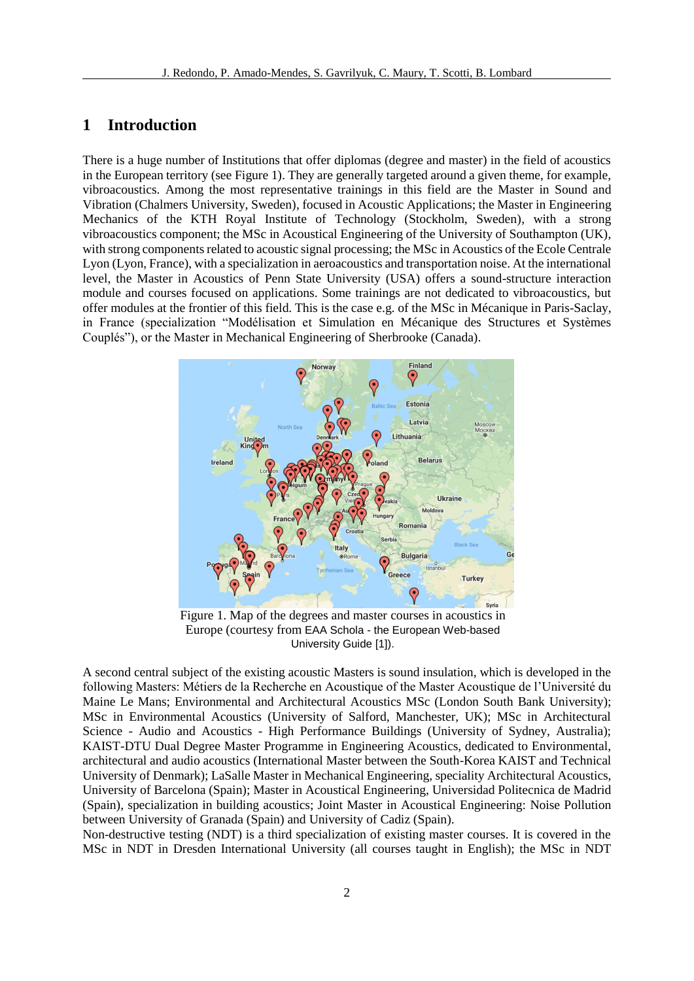### **1 Introduction**

There is a huge number of Institutions that offer diplomas (degree and master) in the field of acoustics in the European territory (see Figure 1). They are generally targeted around a given theme, for example, vibroacoustics. Among the most representative trainings in this field are the Master in Sound and Vibration (Chalmers University, Sweden), focused in Acoustic Applications; the Master in Engineering Mechanics of the KTH Royal Institute of Technology (Stockholm, Sweden), with a strong vibroacoustics component; the MSc in Acoustical Engineering of the University of Southampton (UK), with strong components related to acoustic signal processing; the MSc in Acoustics of the Ecole Centrale Lyon (Lyon, France), with a specialization in aeroacoustics and transportation noise. At the international level, the Master in Acoustics of Penn State University (USA) offers a sound-structure interaction module and courses focused on applications. Some trainings are not dedicated to vibroacoustics, but offer modules at the frontier of this field. This is the case e.g. of the MSc in Mécanique in Paris-Saclay, in France (specialization "Modélisation et Simulation en Mécanique des Structures et Systèmes Couplés"), or the Master in Mechanical Engineering of Sherbrooke (Canada).



Figure 1. Map of the degrees and master courses in acoustics in Europe (courtesy from EAA Schola - the European Web-based University Guide [1]).

A second central subject of the existing acoustic Masters is sound insulation, which is developed in the following Masters: Métiers de la Recherche en Acoustique of the Master Acoustique de l'Université du Maine Le Mans; Environmental and Architectural Acoustics MSc (London South Bank University); MSc in Environmental Acoustics (University of Salford, Manchester, UK); MSc in Architectural Science - Audio and Acoustics - High Performance Buildings (University of Sydney, Australia); KAIST-DTU Dual Degree Master Programme in Engineering Acoustics, dedicated to Environmental, architectural and audio acoustics (International Master between the South-Korea KAIST and Technical University of Denmark); LaSalle Master in Mechanical Engineering, speciality Architectural Acoustics, University of Barcelona (Spain); Master in Acoustical Engineering, Universidad Politecnica de Madrid (Spain), specialization in building acoustics; Joint Master in Acoustical Engineering: Noise Pollution between University of Granada (Spain) and University of Cadiz (Spain).

Non-destructive testing (NDT) is a third specialization of existing master courses. It is covered in the MSc in NDT in Dresden International University (all courses taught in English); the MSc in NDT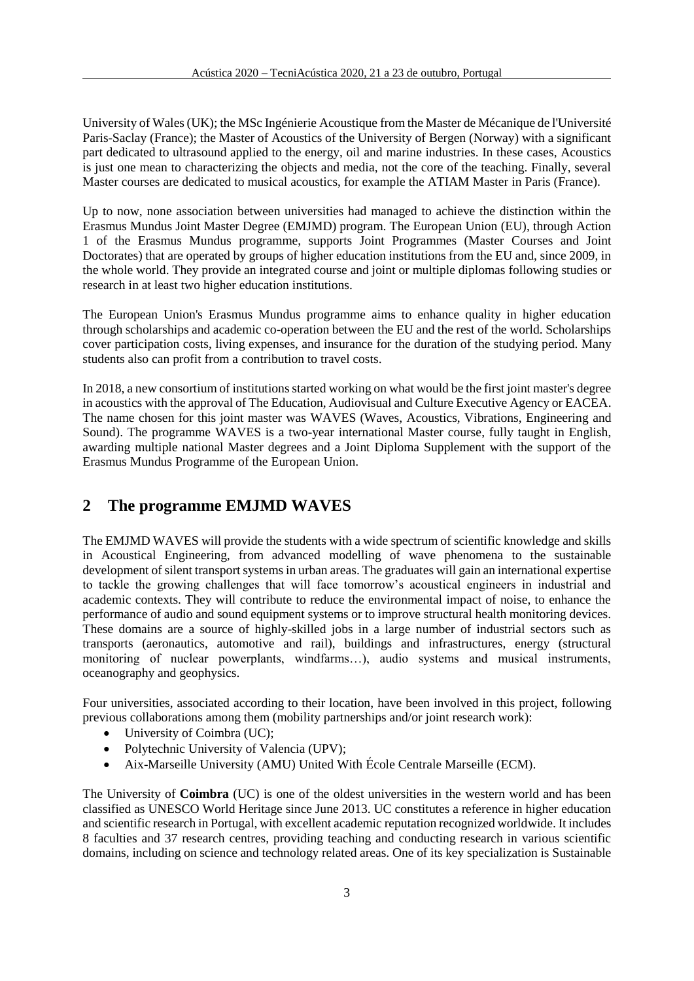University of Wales (UK); the MSc Ingénierie Acoustique from the Master de Mécanique de l'Université Paris-Saclay (France); the Master of Acoustics of the University of Bergen (Norway) with a significant part dedicated to ultrasound applied to the energy, oil and marine industries. In these cases, Acoustics is just one mean to characterizing the objects and media, not the core of the teaching. Finally, several Master courses are dedicated to musical acoustics, for example the ATIAM Master in Paris (France).

Up to now, none association between universities had managed to achieve the distinction within the Erasmus Mundus Joint Master Degree (EMJMD) program. The European Union (EU), through Action 1 of the Erasmus Mundus programme, supports Joint Programmes (Master Courses and Joint Doctorates) that are operated by groups of higher education institutions from the EU and, since 2009, in the whole world. They provide an integrated course and joint or multiple diplomas following studies or research in at least two higher education institutions.

The European Union's Erasmus Mundus programme aims to enhance quality in higher education through scholarships and academic co-operation between the EU and the rest of the world. Scholarships cover participation costs, living expenses, and insurance for the duration of the studying period. Many students also can profit from a contribution to travel costs.

In 2018, a new consortium of institutions started working on what would be the first joint master's degree in acoustics with the approval of The Education, Audiovisual and Culture Executive Agency or EACEA. The name chosen for this joint master was WAVES (Waves, Acoustics, Vibrations, Engineering and Sound). The programme WAVES is a two-year international Master course, fully taught in English, awarding multiple national Master degrees and a Joint Diploma Supplement with the support of the Erasmus Mundus Programme of the European Union.

## **2 The programme EMJMD WAVES**

The EMJMD WAVES will provide the students with a wide spectrum of scientific knowledge and skills in Acoustical Engineering, from advanced modelling of wave phenomena to the sustainable development of silent transport systems in urban areas. The graduates will gain an international expertise to tackle the growing challenges that will face tomorrow's acoustical engineers in industrial and academic contexts. They will contribute to reduce the environmental impact of noise, to enhance the performance of audio and sound equipment systems or to improve structural health monitoring devices. These domains are a source of highly-skilled jobs in a large number of industrial sectors such as transports (aeronautics, automotive and rail), buildings and infrastructures, energy (structural monitoring of nuclear powerplants, windfarms…), audio systems and musical instruments, oceanography and geophysics.

Four universities, associated according to their location, have been involved in this project, following previous collaborations among them (mobility partnerships and/or joint research work):

- University of Coimbra (UC);
- Polytechnic University of Valencia (UPV);
- Aix-Marseille University (AMU) United With École Centrale Marseille (ECM).

The University of **Coimbra** (UC) is one of the oldest universities in the western world and has been classified as UNESCO World Heritage since June 2013. UC constitutes a reference in higher education and scientific research in Portugal, with excellent academic reputation recognized worldwide. It includes 8 faculties and 37 research centres, providing teaching and conducting research in various scientific domains, including on science and technology related areas. One of its key specialization is Sustainable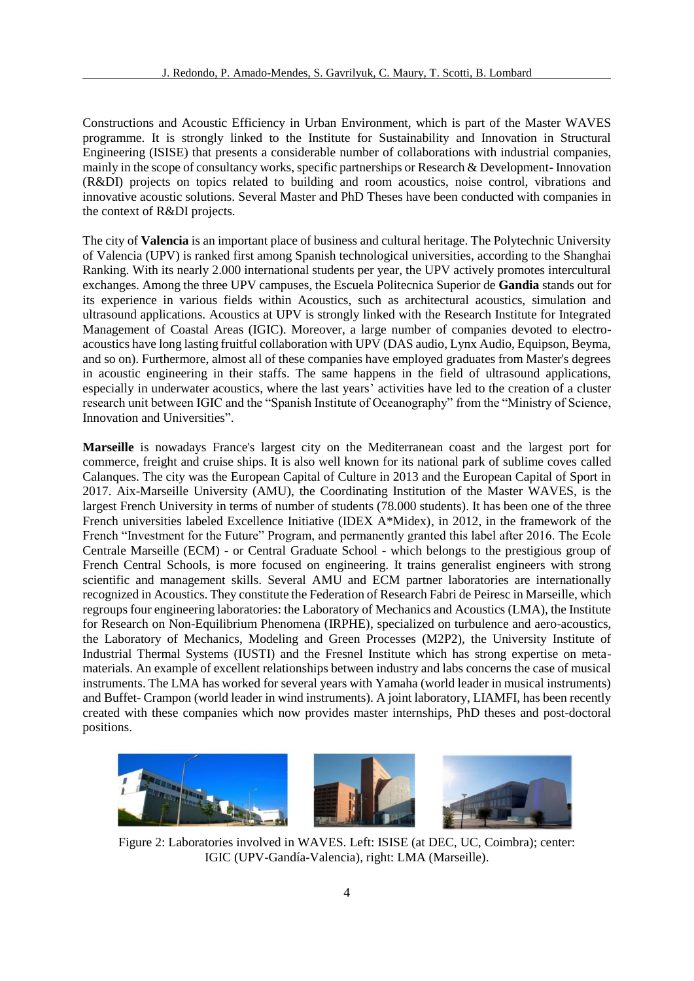Constructions and Acoustic Efficiency in Urban Environment, which is part of the Master WAVES programme. It is strongly linked to the Institute for Sustainability and Innovation in Structural Engineering (ISISE) that presents a considerable number of collaborations with industrial companies, mainly in the scope of consultancy works, specific partnerships or Research & Development- Innovation (R&DI) projects on topics related to building and room acoustics, noise control, vibrations and innovative acoustic solutions. Several Master and PhD Theses have been conducted with companies in the context of R&DI projects.

The city of **Valencia** is an important place of business and cultural heritage. The Polytechnic University of Valencia (UPV) is ranked first among Spanish technological universities, according to the Shanghai Ranking. With its nearly 2.000 international students per year, the UPV actively promotes intercultural exchanges. Among the three UPV campuses, the Escuela Politecnica Superior de **Gandia** stands out for its experience in various fields within Acoustics, such as architectural acoustics, simulation and ultrasound applications. Acoustics at UPV is strongly linked with the Research Institute for Integrated Management of Coastal Areas (IGIC). Moreover, a large number of companies devoted to electroacoustics have long lasting fruitful collaboration with UPV (DAS audio, Lynx Audio, Equipson, Beyma, and so on). Furthermore, almost all of these companies have employed graduates from Master's degrees in acoustic engineering in their staffs. The same happens in the field of ultrasound applications, especially in underwater acoustics, where the last years' activities have led to the creation of a cluster research unit between IGIC and the "Spanish Institute of Oceanography" from the "Ministry of Science, Innovation and Universities".

**Marseille** is nowadays France's largest city on the Mediterranean coast and the largest port for commerce, freight and cruise ships. It is also well known for its national park of sublime coves called Calanques. The city was the European Capital of Culture in 2013 and the European Capital of Sport in 2017. Aix-Marseille University (AMU), the Coordinating Institution of the Master WAVES, is the largest French University in terms of number of students (78.000 students). It has been one of the three French universities labeled Excellence Initiative (IDEX A\*Midex), in 2012, in the framework of the French "Investment for the Future" Program, and permanently granted this label after 2016. The Ecole Centrale Marseille (ECM) - or Central Graduate School - which belongs to the prestigious group of French Central Schools, is more focused on engineering. It trains generalist engineers with strong scientific and management skills. Several AMU and ECM partner laboratories are internationally recognized in Acoustics. They constitute the Federation of Research Fabri de Peiresc in Marseille, which regroups four engineering laboratories: the Laboratory of Mechanics and Acoustics (LMA), the Institute for Research on Non-Equilibrium Phenomena (IRPHE), specialized on turbulence and aero-acoustics, the Laboratory of Mechanics, Modeling and Green Processes (M2P2), the University Institute of Industrial Thermal Systems (IUSTI) and the Fresnel Institute which has strong expertise on metamaterials. An example of excellent relationships between industry and labs concerns the case of musical instruments. The LMA has worked for several years with Yamaha (world leader in musical instruments) and Buffet- Crampon (world leader in wind instruments). A joint laboratory, LIAMFI, has been recently created with these companies which now provides master internships, PhD theses and post-doctoral positions.



Figure 2: Laboratories involved in WAVES. Left: ISISE (at DEC, UC, Coimbra); center: IGIC (UPV-Gandía-Valencia), right: LMA (Marseille).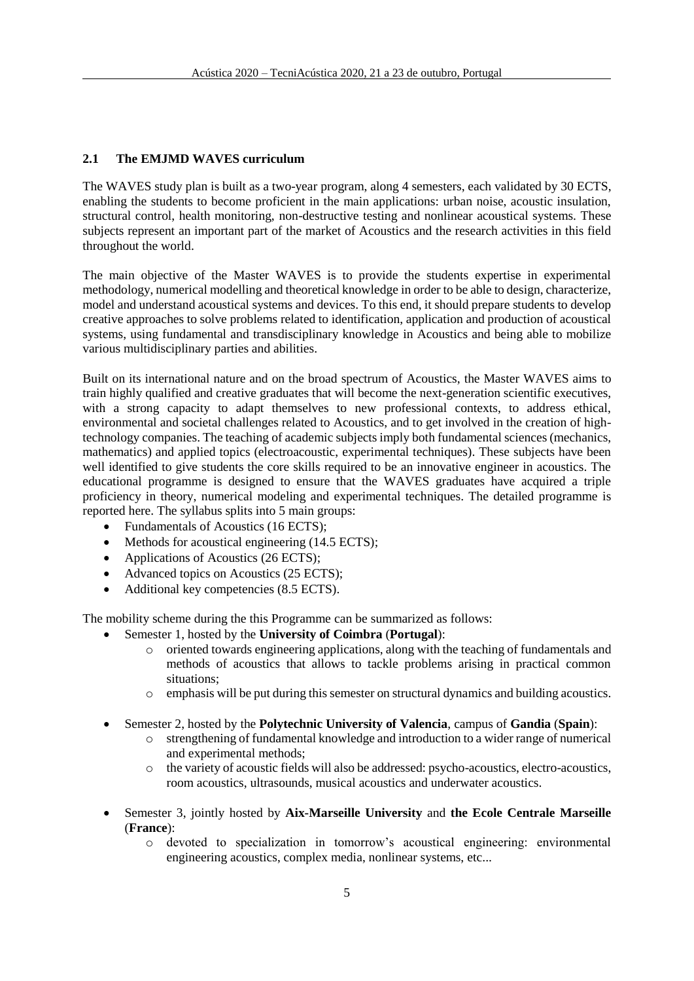### **2.1 The EMJMD WAVES curriculum**

The WAVES study plan is built as a two-year program, along 4 semesters, each validated by 30 ECTS, enabling the students to become proficient in the main applications: urban noise, acoustic insulation, structural control, health monitoring, non-destructive testing and nonlinear acoustical systems. These subjects represent an important part of the market of Acoustics and the research activities in this field throughout the world.

The main objective of the Master WAVES is to provide the students expertise in experimental methodology, numerical modelling and theoretical knowledge in order to be able to design, characterize, model and understand acoustical systems and devices. To this end, it should prepare students to develop creative approaches to solve problems related to identification, application and production of acoustical systems, using fundamental and transdisciplinary knowledge in Acoustics and being able to mobilize various multidisciplinary parties and abilities.

Built on its international nature and on the broad spectrum of Acoustics, the Master WAVES aims to train highly qualified and creative graduates that will become the next-generation scientific executives, with a strong capacity to adapt themselves to new professional contexts, to address ethical, environmental and societal challenges related to Acoustics, and to get involved in the creation of hightechnology companies. The teaching of academic subjects imply both fundamental sciences (mechanics, mathematics) and applied topics (electroacoustic, experimental techniques). These subjects have been well identified to give students the core skills required to be an innovative engineer in acoustics. The educational programme is designed to ensure that the WAVES graduates have acquired a triple proficiency in theory, numerical modeling and experimental techniques. The detailed programme is reported here. The syllabus splits into 5 main groups:

- Fundamentals of Acoustics (16 ECTS);
- Methods for acoustical engineering (14.5 ECTS);
- Applications of Acoustics (26 ECTS);
- Advanced topics on Acoustics (25 ECTS);
- Additional key competencies (8.5 ECTS).

The mobility scheme during the this Programme can be summarized as follows:

- Semester 1, hosted by the **University of Coimbra** (**Portugal**):
	- o oriented towards engineering applications, along with the teaching of fundamentals and methods of acoustics that allows to tackle problems arising in practical common situations;
	- o emphasis will be put during this semester on structural dynamics and building acoustics.
- Semester 2, hosted by the **Polytechnic University of Valencia**, campus of **Gandia** (**Spain**):
	- o strengthening of fundamental knowledge and introduction to a wider range of numerical and experimental methods;
	- o the variety of acoustic fields will also be addressed: psycho-acoustics, electro-acoustics, room acoustics, ultrasounds, musical acoustics and underwater acoustics.
- Semester 3, jointly hosted by **Aix-Marseille University** and **the Ecole Centrale Marseille** (**France**):
	- o devoted to specialization in tomorrow's acoustical engineering: environmental engineering acoustics, complex media, nonlinear systems, etc...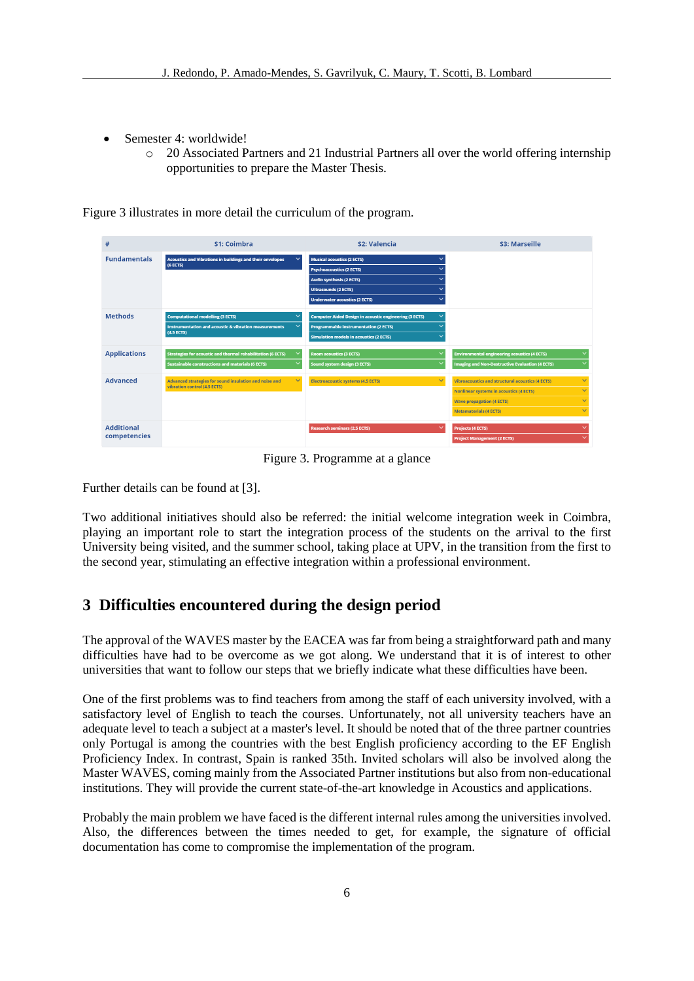- Semester 4: worldwide!
	- o 20 Associated Partners and 21 Industrial Partners all over the world offering internship opportunities to prepare the Master Thesis.

| #                                 | S1: Coimbra                                                                                                                                               | S <sub>2</sub> : Valencia                                                                                                                                                                                                                | S3: Marseille                                                                                                                                                                                |
|-----------------------------------|-----------------------------------------------------------------------------------------------------------------------------------------------------------|------------------------------------------------------------------------------------------------------------------------------------------------------------------------------------------------------------------------------------------|----------------------------------------------------------------------------------------------------------------------------------------------------------------------------------------------|
| <b>Fundamentals</b>               | $\checkmark$<br>Acoustics and Vibrations in buildings and their envelopes<br>(6 ECTS)                                                                     | <b>Musical acoustics (2 ECTS)</b><br>$\checkmark$<br><b>Psychoacoustics (2 ECTS)</b><br><b>Audio synthesis (2 ECTS)</b><br>$\sim$<br>$\checkmark$<br><b>Ultrasounds (2 ECTS)</b><br>$\checkmark$<br><b>Underwater acoustics (2 ECTS)</b> |                                                                                                                                                                                              |
| <b>Methods</b>                    | <b>Computational modelling (3 ECTS)</b><br>$\checkmark$<br>$\checkmark$<br><b>Instrumentation and acoustic &amp; vibration measurements</b><br>(4.5 ECTS) | <b>Computer Aided Design in acoustic engineering (3 ECTS)</b><br>$\checkmark$<br><b>Programmable instrumentation (2 ECTS)</b><br><b>Simulation models in acoustics (2 ECTS)</b><br>$\checkmark$                                          |                                                                                                                                                                                              |
| <b>Applications</b>               | <b>Strategies for acoustic and thermal rehabilitation (6 ECTS)</b><br><b>Sustainable constructions and materials (6 ECTS)</b>                             | <b>Room acoustics (3 ECTS)</b><br>Sound system design (3 ECTS)                                                                                                                                                                           | <b>Environmental engineering acoustics (4 ECTS)</b><br><b>Imaging and Non-Destructive Evaluation (4 ECTS)</b>                                                                                |
| <b>Advanced</b>                   | $\checkmark$<br>Advanced strategies for sound insulation and noise and<br>vibration control (4.5 ECTS)                                                    | $\checkmark$<br><b>Electroacoustic systems (4.5 ECTS)</b>                                                                                                                                                                                | Vibroacoustics and structural acoustics (4 ECTS)<br>$\overline{\phantom{a}}$<br>Nonlinear systems in acoustics (4 ECTS)<br><b>Wave propagation (4 ECTS)</b><br><b>Metamaterials (4 ECTS)</b> |
| <b>Additional</b><br>competencies |                                                                                                                                                           | $\checkmark$<br><b>Research seminars (2.5 ECTS)</b>                                                                                                                                                                                      | <b>Projects (4 ECTS)</b><br><b>Project Management (2 ECTS)</b>                                                                                                                               |

Figure 3 illustrates in more detail the curriculum of the program.

Figure 3. Programme at a glance

Further details can be found at [3].

Two additional initiatives should also be referred: the initial welcome integration week in Coimbra, playing an important role to start the integration process of the students on the arrival to the first University being visited, and the summer school, taking place at UPV, in the transition from the first to the second year, stimulating an effective integration within a professional environment.

# **3 Difficulties encountered during the design period**

The approval of the WAVES master by the EACEA was far from being a straightforward path and many difficulties have had to be overcome as we got along. We understand that it is of interest to other universities that want to follow our steps that we briefly indicate what these difficulties have been.

One of the first problems was to find teachers from among the staff of each university involved, with a satisfactory level of English to teach the courses. Unfortunately, not all university teachers have an adequate level to teach a subject at a master's level. It should be noted that of the three partner countries only Portugal is among the countries with the best English proficiency according to the EF English Proficiency Index. In contrast, Spain is ranked 35th. Invited scholars will also be involved along the Master WAVES, coming mainly from the Associated Partner institutions but also from non-educational institutions. They will provide the current state-of-the-art knowledge in Acoustics and applications.

Probably the main problem we have faced is the different internal rules among the universities involved. Also, the differences between the times needed to get, for example, the signature of official documentation has come to compromise the implementation of the program.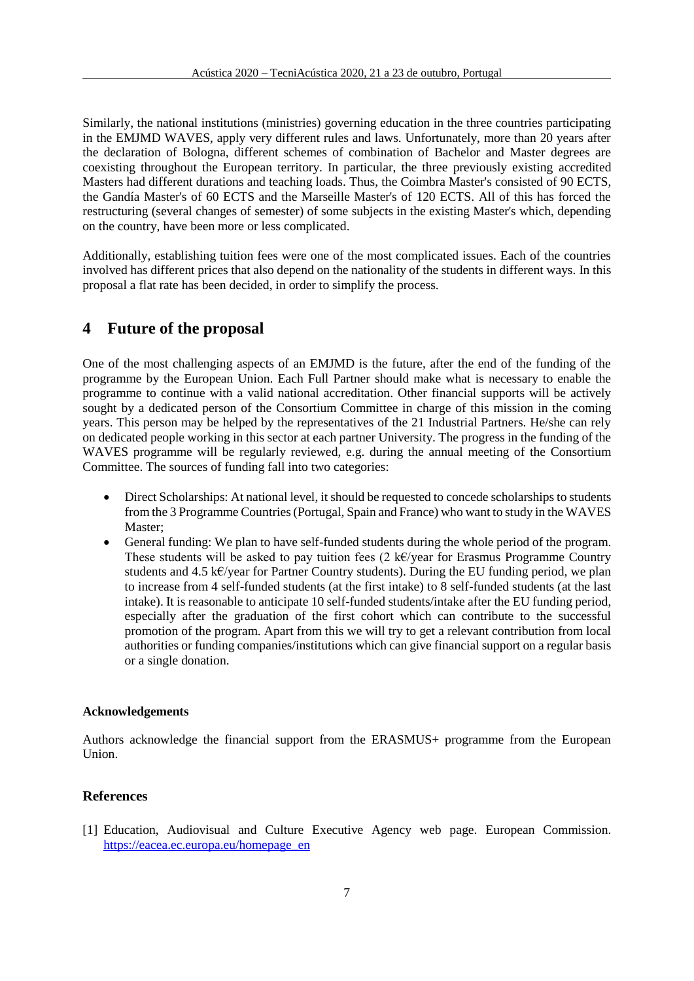Similarly, the national institutions (ministries) governing education in the three countries participating in the EMJMD WAVES, apply very different rules and laws. Unfortunately, more than 20 years after the declaration of Bologna, different schemes of combination of Bachelor and Master degrees are coexisting throughout the European territory. In particular, the three previously existing accredited Masters had different durations and teaching loads. Thus, the Coimbra Master's consisted of 90 ECTS, the Gandía Master's of 60 ECTS and the Marseille Master's of 120 ECTS. All of this has forced the restructuring (several changes of semester) of some subjects in the existing Master's which, depending on the country, have been more or less complicated.

Additionally, establishing tuition fees were one of the most complicated issues. Each of the countries involved has different prices that also depend on the nationality of the students in different ways. In this proposal a flat rate has been decided, in order to simplify the process.

### **4 Future of the proposal**

One of the most challenging aspects of an EMJMD is the future, after the end of the funding of the programme by the European Union. Each Full Partner should make what is necessary to enable the programme to continue with a valid national accreditation. Other financial supports will be actively sought by a dedicated person of the Consortium Committee in charge of this mission in the coming years. This person may be helped by the representatives of the 21 Industrial Partners. He/she can rely on dedicated people working in this sector at each partner University. The progress in the funding of the WAVES programme will be regularly reviewed, e.g. during the annual meeting of the Consortium Committee. The sources of funding fall into two categories:

- Direct Scholarships: At national level, it should be requested to concede scholarships to students from the 3 Programme Countries (Portugal, Spain and France) who want to study in the WAVES Master;
- General funding: We plan to have self-funded students during the whole period of the program. These students will be asked to pay tuition fees (2 k€/year for Erasmus Programme Country students and 4.5 k€/year for Partner Country students). During the EU funding period, we plan to increase from 4 self-funded students (at the first intake) to 8 self-funded students (at the last intake). It is reasonable to anticipate 10 self-funded students/intake after the EU funding period, especially after the graduation of the first cohort which can contribute to the successful promotion of the program. Apart from this we will try to get a relevant contribution from local authorities or funding companies/institutions which can give financial support on a regular basis or a single donation.

#### **Acknowledgements**

Authors acknowledge the financial support from the ERASMUS+ programme from the European Union.

#### **References**

[1] Education, Audiovisual and Culture Executive Agency web page. European Commission. [https://eacea.ec.europa.eu/homepage\\_en](https://eacea.ec.europa.eu/homepage_en)